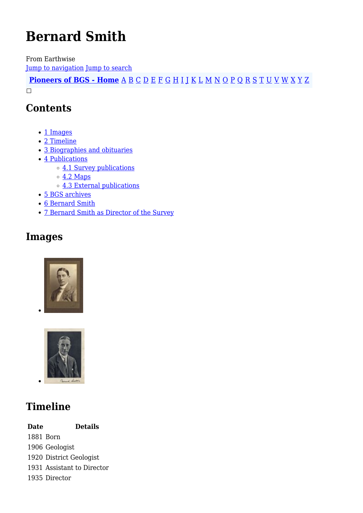# **Bernard Smith**

From Earthwise [Jump to navigation](#page--1-0) [Jump to search](#page--1-0)

**[Pioneers of BGS - Home](http://earthwise.bgs.ac.uk/index.php/Pioneers_of_the_British_Geological_Survey)** [A](http://earthwise.bgs.ac.uk/index.php/Pioneers_of_the_British_Geological_Survey#A) [B](http://earthwise.bgs.ac.uk/index.php/Pioneers_of_the_British_Geological_Survey#B) [C](http://earthwise.bgs.ac.uk/index.php/Pioneers_of_the_British_Geological_Survey#C) [D](http://earthwise.bgs.ac.uk/index.php/Pioneers_of_the_British_Geological_Survey#D) [E](http://earthwise.bgs.ac.uk/index.php/Pioneers_of_the_British_Geological_Survey#E) [F](http://earthwise.bgs.ac.uk/index.php/Pioneers_of_the_British_Geological_Survey#F) [G](http://earthwise.bgs.ac.uk/index.php/Pioneers_of_the_British_Geological_Survey#G) [H](http://earthwise.bgs.ac.uk/index.php/Pioneers_of_the_British_Geological_Survey#H) [I](http://earthwise.bgs.ac.uk/index.php/Pioneers_of_the_British_Geological_Survey#I) [J](http://earthwise.bgs.ac.uk/index.php/Pioneers_of_the_British_Geological_Survey#J) [K](http://earthwise.bgs.ac.uk/index.php/Pioneers_of_the_British_Geological_Survey#K) [L](http://earthwise.bgs.ac.uk/index.php/Pioneers_of_the_British_Geological_Survey#L) [M](http://earthwise.bgs.ac.uk/index.php/Pioneers_of_the_British_Geological_Survey#M) [N](http://earthwise.bgs.ac.uk/index.php/Pioneers_of_the_British_Geological_Survey#N) [O](http://earthwise.bgs.ac.uk/index.php/Pioneers_of_the_British_Geological_Survey#O) [P](http://earthwise.bgs.ac.uk/index.php/Pioneers_of_the_British_Geological_Survey#P) [Q](http://earthwise.bgs.ac.uk/index.php/Pioneers_of_the_British_Geological_Survey#Q) [R](http://earthwise.bgs.ac.uk/index.php/Pioneers_of_the_British_Geological_Survey#R) [S](http://earthwise.bgs.ac.uk/index.php/Pioneers_of_the_British_Geological_Survey#S) [T](http://earthwise.bgs.ac.uk/index.php/Pioneers_of_the_British_Geological_Survey#T) [U](http://earthwise.bgs.ac.uk/index.php/Pioneers_of_the_British_Geological_Survey#U) [V](http://earthwise.bgs.ac.uk/index.php/Pioneers_of_the_British_Geological_Survey#V) [W](http://earthwise.bgs.ac.uk/index.php/Pioneers_of_the_British_Geological_Survey#W) [X](http://earthwise.bgs.ac.uk/index.php/Pioneers_of_the_British_Geological_Survey#X) [Y](http://earthwise.bgs.ac.uk/index.php/Pioneers_of_the_British_Geological_Survey#Y) [Z](http://earthwise.bgs.ac.uk/index.php/Pioneers_of_the_British_Geological_Survey#Z)  $\Box$ 

### **Contents**

- [1](#page--1-0) [Images](#page--1-0)
- [2](#page--1-0) [Timeline](#page--1-0)
- [3](#page--1-0) [Biographies and obituaries](#page--1-0)
- [4](#page--1-0) [Publications](#page--1-0)
	- o [4.1](#page--1-0) [Survey publications](#page--1-0)
	- $\circ$  [4.2](#page--1-0) [Maps](#page--1-0)
	- [4.3](#page--1-0) [External publications](#page--1-0)
- [5](#page--1-0) [BGS archives](#page--1-0)
- [6](#page--1-0) [Bernard Smith](#page--1-0)
- [7](#page--1-0) [Bernard Smith as Director of the Survey](#page--1-0)

### **Images**





# **Timeline**

**Date Details** 1881 Born 1906 Geologist 1920 District Geologist 1931 Assistant to Director 1935 Director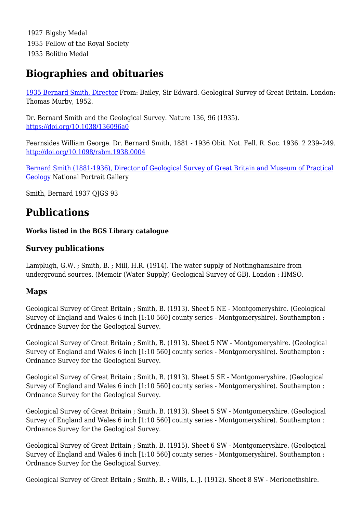1927 Bigsby Medal 1935 Fellow of the Royal Society 1935 Bolitho Medal

### **Biographies and obituaries**

[1935 Bernard Smith, Director](http://earthwise.bgs.ac.uk/index.php/1935_Bernard_Smith,_Director_-_Geological_Survey_of_Great_Britain_(by_E.B._Bailey)) From: Bailey, Sir Edward. Geological Survey of Great Britain. London: Thomas Murby, 1952.

Dr. Bernard Smith and the Geological Survey. Nature 136, 96 (1935). <https://doi.org/10.1038/136096a0>

Fearnsides William George. Dr. Bernard Smith, 1881 - 1936 Obit. Not. Fell. R. Soc. 1936. 2 239–249. <http://doi.org/10.1098/rsbm.1938.0004>

[Bernard Smith \(1881-1936\), Director of Geological Survey of Great Britain and Museum of Practical](https://www.npg.org.uk/collections/search/person/mp141538/bernard-smith) [Geology](https://www.npg.org.uk/collections/search/person/mp141538/bernard-smith) National Portrait Gallery

Smith, Bernard 1937 QJGS 93

# **Publications**

**Works listed in the BGS Library catalogue**

### **Survey publications**

Lamplugh, G.W. ; Smith, B. ; Mill, H.R. (1914). The water supply of Nottinghamshire from underground sources. (Memoir (Water Supply) Geological Survey of GB). London : HMSO.

### **Maps**

Geological Survey of Great Britain ; Smith, B. (1913). Sheet 5 NE - Montgomeryshire. (Geological Survey of England and Wales 6 inch [1:10 560] county series - Montgomeryshire). Southampton : Ordnance Survey for the Geological Survey.

Geological Survey of Great Britain ; Smith, B. (1913). Sheet 5 NW - Montgomeryshire. (Geological Survey of England and Wales 6 inch [1:10 560] county series - Montgomeryshire). Southampton : Ordnance Survey for the Geological Survey.

Geological Survey of Great Britain ; Smith, B. (1913). Sheet 5 SE - Montgomeryshire. (Geological Survey of England and Wales 6 inch [1:10 560] county series - Montgomeryshire). Southampton : Ordnance Survey for the Geological Survey.

Geological Survey of Great Britain ; Smith, B. (1913). Sheet 5 SW - Montgomeryshire. (Geological Survey of England and Wales 6 inch [1:10 560] county series - Montgomeryshire). Southampton : Ordnance Survey for the Geological Survey.

Geological Survey of Great Britain ; Smith, B. (1915). Sheet 6 SW - Montgomeryshire. (Geological Survey of England and Wales 6 inch [1:10 560] county series - Montgomeryshire). Southampton : Ordnance Survey for the Geological Survey.

Geological Survey of Great Britain ; Smith, B. ; Wills, L. J. (1912). Sheet 8 SW - Merionethshire.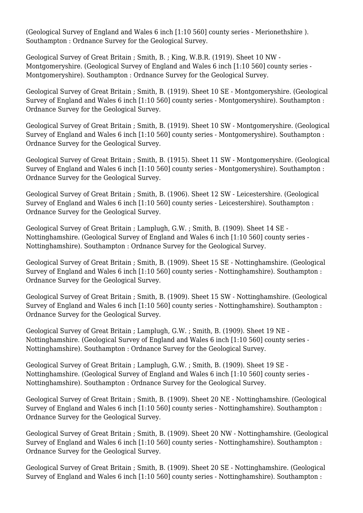(Geological Survey of England and Wales 6 inch [1:10 560] county series - Merionethshire ). Southampton : Ordnance Survey for the Geological Survey.

Geological Survey of Great Britain ; Smith, B. ; King, W.B.R. (1919). Sheet 10 NW - Montgomeryshire. (Geological Survey of England and Wales 6 inch [1:10 560] county series - Montgomeryshire). Southampton : Ordnance Survey for the Geological Survey.

Geological Survey of Great Britain ; Smith, B. (1919). Sheet 10 SE - Montgomeryshire. (Geological Survey of England and Wales 6 inch [1:10 560] county series - Montgomeryshire). Southampton : Ordnance Survey for the Geological Survey.

Geological Survey of Great Britain ; Smith, B. (1919). Sheet 10 SW - Montgomeryshire. (Geological Survey of England and Wales 6 inch [1:10 560] county series - Montgomeryshire). Southampton : Ordnance Survey for the Geological Survey.

Geological Survey of Great Britain ; Smith, B. (1915). Sheet 11 SW - Montgomeryshire. (Geological Survey of England and Wales 6 inch [1:10 560] county series - Montgomeryshire). Southampton : Ordnance Survey for the Geological Survey.

Geological Survey of Great Britain ; Smith, B. (1906). Sheet 12 SW - Leicestershire. (Geological Survey of England and Wales 6 inch [1:10 560] county series - Leicestershire). Southampton : Ordnance Survey for the Geological Survey.

Geological Survey of Great Britain ; Lamplugh, G.W. ; Smith, B. (1909). Sheet 14 SE - Nottinghamshire. (Geological Survey of England and Wales 6 inch [1:10 560] county series - Nottinghamshire). Southampton : Ordnance Survey for the Geological Survey.

Geological Survey of Great Britain ; Smith, B. (1909). Sheet 15 SE - Nottinghamshire. (Geological Survey of England and Wales 6 inch [1:10 560] county series - Nottinghamshire). Southampton : Ordnance Survey for the Geological Survey.

Geological Survey of Great Britain ; Smith, B. (1909). Sheet 15 SW - Nottinghamshire. (Geological Survey of England and Wales 6 inch [1:10 560] county series - Nottinghamshire). Southampton : Ordnance Survey for the Geological Survey.

Geological Survey of Great Britain ; Lamplugh, G.W. ; Smith, B. (1909). Sheet 19 NE - Nottinghamshire. (Geological Survey of England and Wales 6 inch [1:10 560] county series - Nottinghamshire). Southampton : Ordnance Survey for the Geological Survey.

Geological Survey of Great Britain ; Lamplugh, G.W. ; Smith, B. (1909). Sheet 19 SE - Nottinghamshire. (Geological Survey of England and Wales 6 inch [1:10 560] county series - Nottinghamshire). Southampton : Ordnance Survey for the Geological Survey.

Geological Survey of Great Britain ; Smith, B. (1909). Sheet 20 NE - Nottinghamshire. (Geological Survey of England and Wales 6 inch [1:10 560] county series - Nottinghamshire). Southampton : Ordnance Survey for the Geological Survey.

Geological Survey of Great Britain ; Smith, B. (1909). Sheet 20 NW - Nottinghamshire. (Geological Survey of England and Wales 6 inch [1:10 560] county series - Nottinghamshire). Southampton : Ordnance Survey for the Geological Survey.

Geological Survey of Great Britain ; Smith, B. (1909). Sheet 20 SE - Nottinghamshire. (Geological Survey of England and Wales 6 inch [1:10 560] county series - Nottinghamshire). Southampton :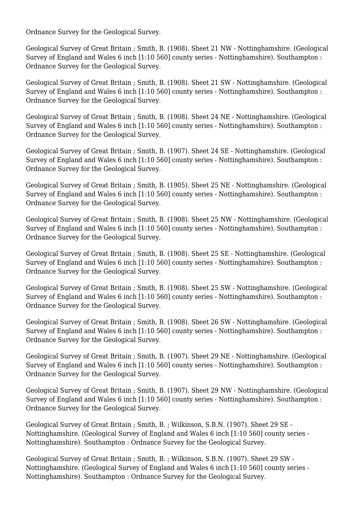Ordnance Survey for the Geological Survey.

Geological Survey of Great Britain ; Smith, B. (1908). Sheet 21 NW - Nottinghamshire. (Geological Survey of England and Wales 6 inch [1:10 560] county series - Nottinghamshire). Southampton : Ordnance Survey for the Geological Survey.

Geological Survey of Great Britain ; Smith, B. (1908). Sheet 21 SW - Nottinghamshire. (Geological Survey of England and Wales 6 inch [1:10 560] county series - Nottinghamshire). Southampton : Ordnance Survey for the Geological Survey.

Geological Survey of Great Britain ; Smith, B. (1908). Sheet 24 NE - Nottinghamshire. (Geological Survey of England and Wales 6 inch [1:10 560] county series - Nottinghamshire). Southampton : Ordnance Survey for the Geological Survey.

Geological Survey of Great Britain ; Smith, B. (1907). Sheet 24 SE - Nottinghamshire. (Geological Survey of England and Wales 6 inch [1:10 560] county series - Nottinghamshire). Southampton : Ordnance Survey for the Geological Survey.

Geological Survey of Great Britain ; Smith, B. (1905). Sheet 25 NE - Nottinghamshire. (Geological Survey of England and Wales 6 inch [1:10 560] county series - Nottinghamshire). Southampton : Ordnance Survey for the Geological Survey.

Geological Survey of Great Britain ; Smith, B. (1908). Sheet 25 NW - Nottinghamshire. (Geological Survey of England and Wales 6 inch [1:10 560] county series - Nottinghamshire). Southampton : Ordnance Survey for the Geological Survey.

Geological Survey of Great Britain ; Smith, B. (1908). Sheet 25 SE - Nottinghamshire. (Geological Survey of England and Wales 6 inch [1:10 560] county series - Nottinghamshire). Southampton : Ordnance Survey for the Geological Survey.

Geological Survey of Great Britain ; Smith, B. (1908). Sheet 25 SW - Nottinghamshire. (Geological Survey of England and Wales 6 inch [1:10 560] county series - Nottinghamshire). Southampton : Ordnance Survey for the Geological Survey.

Geological Survey of Great Britain ; Smith, B. (1908). Sheet 26 SW - Nottinghamshire. (Geological Survey of England and Wales 6 inch [1:10 560] county series - Nottinghamshire). Southampton : Ordnance Survey for the Geological Survey.

Geological Survey of Great Britain ; Smith, B. (1907). Sheet 29 NE - Nottinghamshire. (Geological Survey of England and Wales 6 inch [1:10 560] county series - Nottinghamshire). Southampton : Ordnance Survey for the Geological Survey.

Geological Survey of Great Britain ; Smith, B. (1907). Sheet 29 NW - Nottinghamshire. (Geological Survey of England and Wales 6 inch [1:10 560] county series - Nottinghamshire). Southampton : Ordnance Survey for the Geological Survey.

Geological Survey of Great Britain ; Smith, B. ; Wilkinson, S.B.N. (1907). Sheet 29 SE - Nottinghamshire. (Geological Survey of England and Wales 6 inch [1:10 560] county series - Nottinghamshire). Southampton : Ordnance Survey for the Geological Survey.

Geological Survey of Great Britain ; Smith, B. ; Wilkinson, S.B.N. (1907). Sheet 29 SW - Nottinghamshire. (Geological Survey of England and Wales 6 inch [1:10 560] county series - Nottinghamshire). Southampton : Ordnance Survey for the Geological Survey.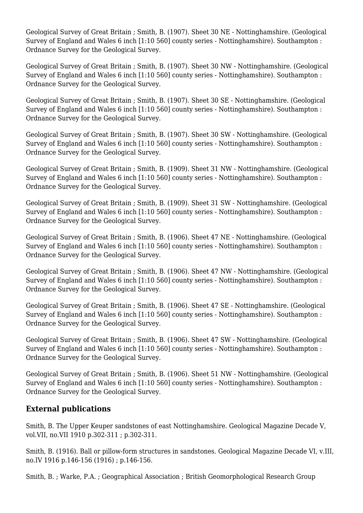Geological Survey of Great Britain ; Smith, B. (1907). Sheet 30 NE - Nottinghamshire. (Geological Survey of England and Wales 6 inch [1:10 560] county series - Nottinghamshire). Southampton : Ordnance Survey for the Geological Survey.

Geological Survey of Great Britain ; Smith, B. (1907). Sheet 30 NW - Nottinghamshire. (Geological Survey of England and Wales 6 inch [1:10 560] county series - Nottinghamshire). Southampton : Ordnance Survey for the Geological Survey.

Geological Survey of Great Britain ; Smith, B. (1907). Sheet 30 SE - Nottinghamshire. (Geological Survey of England and Wales 6 inch [1:10 560] county series - Nottinghamshire). Southampton : Ordnance Survey for the Geological Survey.

Geological Survey of Great Britain ; Smith, B. (1907). Sheet 30 SW - Nottinghamshire. (Geological Survey of England and Wales 6 inch [1:10 560] county series - Nottinghamshire). Southampton : Ordnance Survey for the Geological Survey.

Geological Survey of Great Britain ; Smith, B. (1909). Sheet 31 NW - Nottinghamshire. (Geological Survey of England and Wales 6 inch [1:10 560] county series - Nottinghamshire). Southampton : Ordnance Survey for the Geological Survey.

Geological Survey of Great Britain ; Smith, B. (1909). Sheet 31 SW - Nottinghamshire. (Geological Survey of England and Wales 6 inch [1:10 560] county series - Nottinghamshire). Southampton : Ordnance Survey for the Geological Survey.

Geological Survey of Great Britain ; Smith, B. (1906). Sheet 47 NE - Nottinghamshire. (Geological Survey of England and Wales 6 inch [1:10 560] county series - Nottinghamshire). Southampton : Ordnance Survey for the Geological Survey.

Geological Survey of Great Britain ; Smith, B. (1906). Sheet 47 NW - Nottinghamshire. (Geological Survey of England and Wales 6 inch [1:10 560] county series - Nottinghamshire). Southampton : Ordnance Survey for the Geological Survey.

Geological Survey of Great Britain ; Smith, B. (1906). Sheet 47 SE - Nottinghamshire. (Geological Survey of England and Wales 6 inch [1:10 560] county series - Nottinghamshire). Southampton : Ordnance Survey for the Geological Survey.

Geological Survey of Great Britain ; Smith, B. (1906). Sheet 47 SW - Nottinghamshire. (Geological Survey of England and Wales 6 inch [1:10 560] county series - Nottinghamshire). Southampton : Ordnance Survey for the Geological Survey.

Geological Survey of Great Britain ; Smith, B. (1906). Sheet 51 NW - Nottinghamshire. (Geological Survey of England and Wales 6 inch [1:10 560] county series - Nottinghamshire). Southampton : Ordnance Survey for the Geological Survey.

### **External publications**

Smith, B. The Upper Keuper sandstones of east Nottinghamshire. Geological Magazine Decade V, vol.VII, no.VII 1910 p.302-311 ; p.302-311.

Smith, B. (1916). Ball or pillow-form structures in sandstones. Geological Magazine Decade VI, v.III, no.IV 1916 p.146-156 (1916) ; p.146-156.

Smith, B. ; Warke, P.A. ; Geographical Association ; British Geomorphological Research Group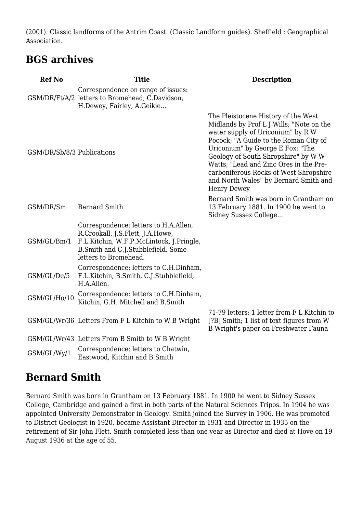(2001). Classic landforms of the Antrim Coast. (Classic Landform guides). Sheffield : Geographical Association.

### **BGS archives**

| <b>Ref No</b>              | <b>Title</b>                                                                                                                                                                         | <b>Description</b>                                                                                                                                                                                                                                                                                                                                                                          |
|----------------------------|--------------------------------------------------------------------------------------------------------------------------------------------------------------------------------------|---------------------------------------------------------------------------------------------------------------------------------------------------------------------------------------------------------------------------------------------------------------------------------------------------------------------------------------------------------------------------------------------|
|                            | Correspondence on range of issues:<br>GSM/DR/Ft/A/2 letters to Bromehead, C.Davidson,<br>H.Dewey, Fairley, A.Geikie                                                                  |                                                                                                                                                                                                                                                                                                                                                                                             |
| GSM/DR/Sb/8/3 Publications |                                                                                                                                                                                      | The Pleistocene History of the West<br>Midlands by Prof L J Wills; "Note on the<br>water supply of Uriconium" by R W<br>Pocock; "A Guide to the Roman City of<br>Uriconium" by George E Fox; "The<br>Geology of South Shropshire" by W W<br>Watts; "Lead and Zinc Ores in the Pre-<br>carboniferous Rocks of West Shropshire<br>and North Wales" by Bernard Smith and<br><b>Henry Dewey</b> |
| GSM/DR/Sm                  | <b>Bernard Smith</b>                                                                                                                                                                 | Bernard Smith was born in Grantham on<br>13 February 1881. In 1900 he went to<br>Sidney Sussex College                                                                                                                                                                                                                                                                                      |
| GSM/GL/Bm/1                | Correspondence: letters to H.A.Allen,<br>R.Crookall, J.S.Flett, J.A.Howe,<br>F.L.Kitchin, W.F.P.McLintock, J.Pringle,<br>B.Smith and C.J.Stubblefield. Some<br>letters to Bromehead. |                                                                                                                                                                                                                                                                                                                                                                                             |
| GSM/GL/De/5                | Correspondence: letters to C.H.Dinham,<br>F.L.Kitchin, B.Smith, C.J.Stubblefield,<br>H.A.Allen.                                                                                      |                                                                                                                                                                                                                                                                                                                                                                                             |
| GSM/GL/Ho/10               | Correspondence: letters to C.H.Dinham,<br>Kitchin, G.H. Mitchell and B.Smith                                                                                                         |                                                                                                                                                                                                                                                                                                                                                                                             |
|                            | GSM/GL/Wr/36 Letters From F L Kitchin to W B Wright                                                                                                                                  | 71-79 letters; 1 letter from F L Kitchin to<br>[?B] Smith; 1 list of text figures from W<br>B Wright's paper on Freshwater Fauna                                                                                                                                                                                                                                                            |
|                            | GSM/GL/Wr/43 Letters From B Smith to W B Wright                                                                                                                                      |                                                                                                                                                                                                                                                                                                                                                                                             |
| GSM/GL/Wy/1                | Correspondence; letters to Chatwin,<br>Eastwood, Kitchin and B.Smith                                                                                                                 |                                                                                                                                                                                                                                                                                                                                                                                             |

### **Bernard Smith**

Bernard Smith was born in Grantham on 13 February 1881. In 1900 he went to Sidney Sussex College, Cambridge and gained a first in both parts of the Natural Sciences Tripos. In 1904 he was appointed University Demonstrator in Geology. Smith joined the Survey in 1906. He was promoted to District Geologist in 1920, became Assistant Director in 1931 and Director in 1935 on the retirement of Sir John Flett. Smith completed less than one year as Director and died at Hove on 19 August 1936 at the age of 55.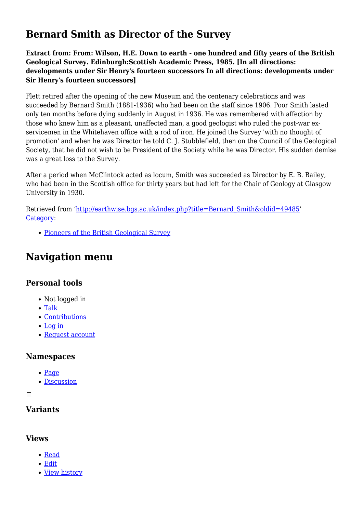## **Bernard Smith as Director of the Survey**

**Extract from: From: Wilson, H.E. Down to earth - one hundred and fifty years of the British Geological Survey. Edinburgh:Scottish Academic Press, 1985. [In all directions: developments under Sir Henry's fourteen successors In all directions: developments under Sir Henry's fourteen successors]**

Flett retired after the opening of the new Museum and the centenary celebrations and was succeeded by Bernard Smith (1881-1936) who had been on the staff since 1906. Poor Smith lasted only ten months before dying suddenly in August in 1936. He was remembered with affection by those who knew him as a pleasant, unaffected man, a good geologist who ruled the post-war exservicemen in the Whitehaven office with a rod of iron. He joined the Survey 'with no thought of promotion' and when he was Director he told C. J. Stubblefield, then on the Council of the Geological Society, that he did not wish to be President of the Society while he was Director. His sudden demise was a great loss to the Survey.

After a period when McClintock acted as locum, Smith was succeeded as Director by E. B. Bailey, who had been in the Scottish office for thirty years but had left for the Chair of Geology at Glasgow University in 1930.

Retrieved from ['http://earthwise.bgs.ac.uk/index.php?title=Bernard\\_Smith&oldid=49485](http://earthwise.bgs.ac.uk/index.php?title=Bernard_Smith&oldid=49485)' [Category](http://earthwise.bgs.ac.uk/index.php/Special:Categories):

[Pioneers of the British Geological Survey](http://earthwise.bgs.ac.uk/index.php/Category:Pioneers_of_the_British_Geological_Survey)

# **Navigation menu**

### **Personal tools**

- Not logged in
- [Talk](http://earthwise.bgs.ac.uk/index.php/Special:MyTalk)
- [Contributions](http://earthwise.bgs.ac.uk/index.php/Special:MyContributions)
- [Log in](http://earthwise.bgs.ac.uk/index.php?title=Special:UserLogin&returnto=Bernard+Smith&returntoquery=action%3Dmpdf)
- [Request account](http://earthwise.bgs.ac.uk/index.php/Special:RequestAccount)

#### **Namespaces**

- $\bullet$  [Page](http://earthwise.bgs.ac.uk/index.php/Bernard_Smith)
- [Discussion](http://earthwise.bgs.ac.uk/index.php?title=Talk:Bernard_Smith&action=edit&redlink=1)

 $\Box$ 

### **Variants**

### **Views**

- [Read](http://earthwise.bgs.ac.uk/index.php/Bernard_Smith)
- [Edit](http://earthwise.bgs.ac.uk/index.php?title=Bernard_Smith&action=edit)
- [View history](http://earthwise.bgs.ac.uk/index.php?title=Bernard_Smith&action=history)